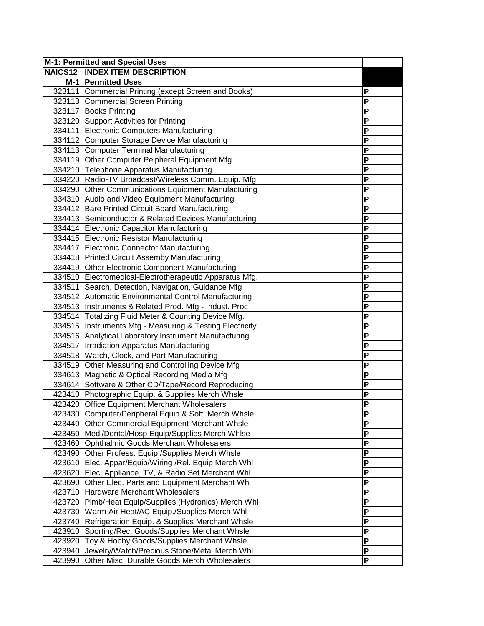|                | <b>M-1: Permitted and Special Uses</b>                   |                |
|----------------|----------------------------------------------------------|----------------|
| <b>NAICS12</b> | <b>INDEX ITEM DESCRIPTION</b>                            |                |
|                | M-1 Permitted Uses                                       |                |
|                | 323111 Commercial Printing (except Screen and Books)     | P              |
|                | 323113 Commercial Screen Printing                        | P              |
|                | 323117 Books Printing                                    | P              |
|                | 323120 Support Activities for Printing                   | P              |
|                | 334111 Electronic Computers Manufacturing                | P              |
|                | 334112 Computer Storage Device Manufacturing             | P              |
|                | 334113 Computer Terminal Manufacturing                   | P              |
|                | 334119 Other Computer Peipheral Equipment Mfg.           | P              |
|                | 334210 Telephone Apparatus Manufacturing                 | P              |
|                | 334220 Radio-TV Broadcast/Wireless Comm. Equip. Mfg.     | P              |
|                | 334290 Other Communications Equipment Manufacturing      | P              |
|                | 334310 Audio and Video Equipment Manufacturing           | P              |
|                | 334412 Bare Printed Circuit Board Manufacturing          | P              |
|                | 334413 Semiconductor & Related Devices Manufacturing     | P              |
|                | 334414 Electronic Capacitor Manufacturing                | P              |
|                | 334415 Electronic Resistor Manufacturing                 | P              |
|                | 334417 Electronic Connector Manufacturing                | P              |
|                | 334418 Printed Circuit Assemby Manufacturing             | P              |
|                | 334419 Other Electronic Component Manufacturing          | P              |
|                | 334510 Electromedical-Electrotherapeutic Apparatus Mfg.  | P              |
|                | 334511 Search, Detection, Navigation, Guidance Mfg       | P              |
|                | 334512 Automatic Environmental Control Manufacturing     | P              |
|                | 334513 Instruments & Related Prod. Mfg - Indust. Proc    | P              |
|                | 334514 Totalizing Fluid Meter & Counting Device Mfg.     | P              |
|                | 334515 Instruments Mfg - Measuring & Testing Electricity | $\overline{P}$ |
|                | 334516 Analytical Laboratory Instrument Manufacturing    | P              |
|                | 334517 Irradiation Apparatus Manufacturing               | P              |
|                | 334518 Watch, Clock, and Part Manufacturing              | P              |
|                | 334519 Other Measuring and Controlling Device Mfg        | P              |
|                | 334613 Magnetic & Optical Recording Media Mfg            | P              |
|                | 334614 Software & Other CD/Tape/Record Reproducing       | P              |
|                | 423410 Photographic Equip. & Supplies Merch Whsle        | P              |
|                | 423420 Office Equipment Merchant Wholesalers             | P              |
|                | 423430 Computer/Peripheral Equip & Soft. Merch Whsle     | ۲              |
|                | 423440 Other Commercial Equipment Merchant Whsle         | P              |
|                | 423450 Medi/Dental/Hosp Equip/Supplies Merch Whlse       | P              |
|                | 423460 Ophthalmic Goods Merchant Wholesalers             | P              |
|                | 423490 Other Profess. Equip./Supplies Merch Whsle        | P              |
|                | 423610 Elec. Appar/Equip/Wiring /Rel. Equip Merch Whl    | P              |
|                | 423620 Elec. Appliance, TV, & Radio Set Merchant Whl     | P              |
|                | 423690 Other Elec. Parts and Equipment Merchant Whl      | P              |
|                | 423710 Hardware Merchant Wholesalers                     | P              |
|                | 423720 Plmb/Heat Equip/Supplies (Hydronics) Merch Whl    | P              |
|                | 423730 Warm Air Heat/AC Equip./Supplies Merch Whl        | P              |
|                | 423740 Refrigeration Equip. & Supplies Merchant Whsle    | P              |
|                | 423910 Sporting/Rec. Goods/Supplies Merchant Whsle       | P              |
|                | 423920 Toy & Hobby Goods/Supplies Merchant Whsle         | P              |
| 423940         | Jewelry/Watch/Precious Stone/Metal Merch Whl             | P              |
| 423990         | Other Misc. Durable Goods Merch Wholesalers              | P              |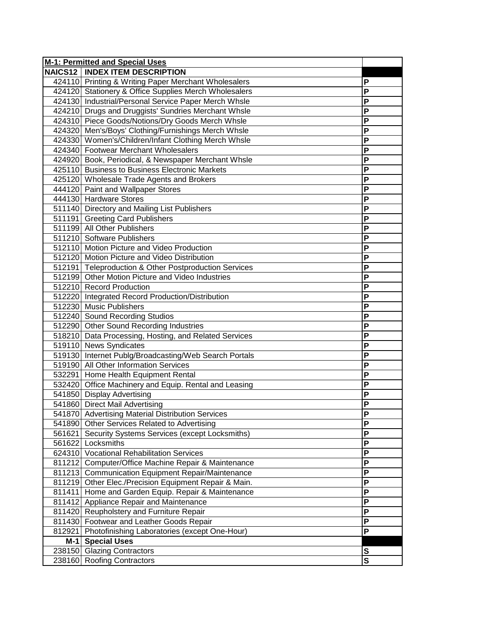| <b>M-1: Permitted and Special Uses</b>                |   |
|-------------------------------------------------------|---|
| <b>NAICS12   INDEX ITEM DESCRIPTION</b>               |   |
| 424110 Printing & Writing Paper Merchant Wholesalers  | Ρ |
| 424120 Stationery & Office Supplies Merch Wholesalers | P |
| 424130 Industrial/Personal Service Paper Merch Whsle  | P |
| 424210 Drugs and Druggists' Sundries Merchant Whsle   | P |
| 424310 Piece Goods/Notions/Dry Goods Merch Whsle      | P |
| 424320 Men's/Boys' Clothing/Furnishings Merch Whsle   | P |
| 424330 Women's/Children/Infant Clothing Merch Whsle   | P |
| 424340 Footwear Merchant Wholesalers                  | P |
| 424920 Book, Periodical, & Newspaper Merchant Whsle   | P |
| 425110 Business to Business Electronic Markets        | P |
| 425120 Wholesale Trade Agents and Brokers             | P |
| 444120 Paint and Wallpaper Stores                     | P |
| 444130 Hardware Stores                                | P |
| 511140 Directory and Mailing List Publishers          | P |
| 511191 Greeting Card Publishers                       | P |
| 511199 All Other Publishers                           | P |
| 511210 Software Publishers                            | P |
| 512110 Motion Picture and Video Production            | P |
| 512120 Motion Picture and Video Distribution          | P |
| 512191 Teleproduction & Other Postproduction Services | P |
| 512199 Other Motion Picture and Video Industries      | P |
| 512210 Record Production                              | P |
| 512220 Integrated Record Production/Distribution      | P |
| 512230 Music Publishers                               | P |
| 512240 Sound Recording Studios                        | P |
| 512290 Other Sound Recording Industries               | P |
| 518210 Data Processing, Hosting, and Related Services | P |
| 519110 News Syndicates                                | P |
| 519130 Internet Publg/Broadcasting/Web Search Portals | P |
| 519190 All Other Information Services                 | P |
| 532291 Home Health Equipment Rental                   | P |
| 532420 Office Machinery and Equip. Rental and Leasing | P |
| 541850 Display Advertising                            | P |
| 541860 Direct Mail Advertising                        | Ρ |
| 541870 Advertising Material Distribution Services     | P |
| 541890 Other Services Related to Advertising          | P |
| 561621 Security Systems Services (except Locksmiths)  | P |
| 561622 Locksmiths                                     | P |
| 624310 Vocational Rehabilitation Services             | P |
| 811212 Computer/Office Machine Repair & Maintenance   | P |
| 811213 Communication Equipment Repair/Maintenance     | P |
| 811219 Other Elec./Precision Equipment Repair & Main. | P |
| 811411 Home and Garden Equip. Repair & Maintenance    | P |
| 811412 Appliance Repair and Maintenance               | P |
| 811420 Reupholstery and Furniture Repair              | P |
| 811430 Footwear and Leather Goods Repair              | P |
| 812921 Photofinishing Laboratories (except One-Hour)  | P |
| M-1 Special Uses                                      |   |
| 238150 Glazing Contractors                            | S |
| 238160 Roofing Contractors                            | S |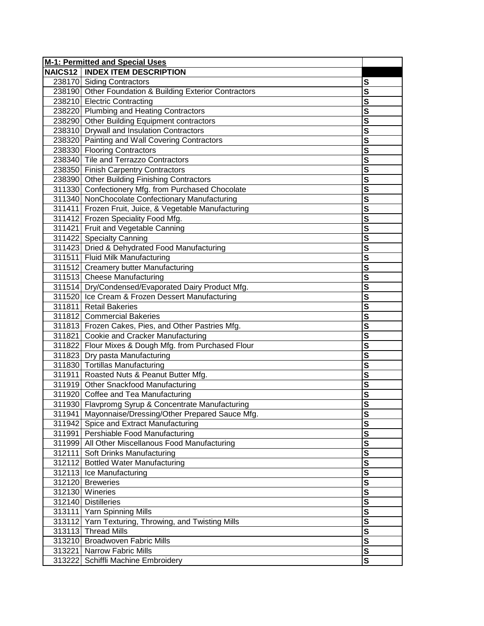| <b>M-1: Permitted and Special Uses</b>                  |                         |
|---------------------------------------------------------|-------------------------|
| <b>NAICS12   INDEX ITEM DESCRIPTION</b>                 |                         |
| 238170 Siding Contractors                               | S                       |
| 238190 Other Foundation & Building Exterior Contractors | S                       |
| 238210 Electric Contracting                             | S                       |
| 238220 Plumbing and Heating Contractors                 | S                       |
| 238290 Other Building Equipment contractors             | S                       |
| 238310 Drywall and Insulation Contractors               | S                       |
| 238320 Painting and Wall Covering Contractors           | S                       |
| 238330 Flooring Contractors                             | S                       |
| 238340 Tile and Terrazzo Contractors                    | S                       |
| 238350 Finish Carpentry Contractors                     | S                       |
| 238390 Other Building Finishing Contractors             | S                       |
| 311330 Confectionery Mfg. from Purchased Chocolate      | S                       |
| 311340 NonChocolate Confectionary Manufacturing         | S                       |
| 311411 Frozen Fruit, Juice, & Vegetable Manufacturing   | S                       |
| 311412 Frozen Speciality Food Mfg.                      | S                       |
| 311421 Fruit and Vegetable Canning                      | S                       |
| 311422 Specialty Canning                                | S                       |
| 311423 Dried & Dehydrated Food Manufacturing            | S                       |
| 311511 Fluid Milk Manufacturing                         | $\overline{\mathbf{s}}$ |
| 311512 Creamery butter Manufacturing                    | S                       |
| 311513 Cheese Manufacturing                             | S                       |
| 311514 Dry/Condensed/Evaporated Dairy Product Mfg.      | S                       |
| 311520 Ice Cream & Frozen Dessert Manufacturing         | S                       |
| 311811 Retail Bakeries                                  | $\overline{\mathbf{s}}$ |
| 311812 Commercial Bakeries                              | S                       |
| 311813 Frozen Cakes, Pies, and Other Pastries Mfg.      | $\overline{\mathsf{s}}$ |
| 311821 Cookie and Cracker Manufacturing                 | S                       |
| 311822 Flour Mixes & Dough Mfg. from Purchased Flour    | S                       |
| 311823 Dry pasta Manufacturing                          | S                       |
| 311830 Tortillas Manufacturing                          | S                       |
| 311911 Roasted Nuts & Peanut Butter Mfg.                | S                       |
| 311919 Other Snackfood Manufacturing                    | $\overline{\mathbf{s}}$ |
| 311920 Coffee and Tea Manufacturing                     | S                       |
| 311930 Flavpromg Syrup & Concentrate Manufacturing      | S                       |
| 311941 Mayonnaise/Dressing/Other Prepared Sauce Mfg.    | <u>১</u>                |
| 311942 Spice and Extract Manufacturing                  | S                       |
| 311991 Pershiable Food Manufacturing                    | S                       |
| 311999 All Other Miscellanous Food Manufacturing        | S                       |
| 312111 Soft Drinks Manufacturing                        | $\overline{\mathbf{s}}$ |
| 312112 Bottled Water Manufacturing                      | $\overline{\mathbf{s}}$ |
| 312113 Ice Manufacturing                                | $\overline{\mathbf{s}}$ |
| 312120 Breweries                                        | $\overline{\mathsf{s}}$ |
| 312130 Wineries                                         | $\overline{\mathsf{s}}$ |
| 312140 Distilleries                                     | S                       |
| 313111 Yarn Spinning Mills                              | S                       |
| 313112 Yarn Texturing, Throwing, and Twisting Mills     | S                       |
| 313113 Thread Mills                                     | S                       |
| 313210 Broadwoven Fabric Mills                          | S                       |
| 313221 Narrow Fabric Mills                              | $\overline{\mathbf{s}}$ |
| 313222 Schiffli Machine Embroidery                      | S                       |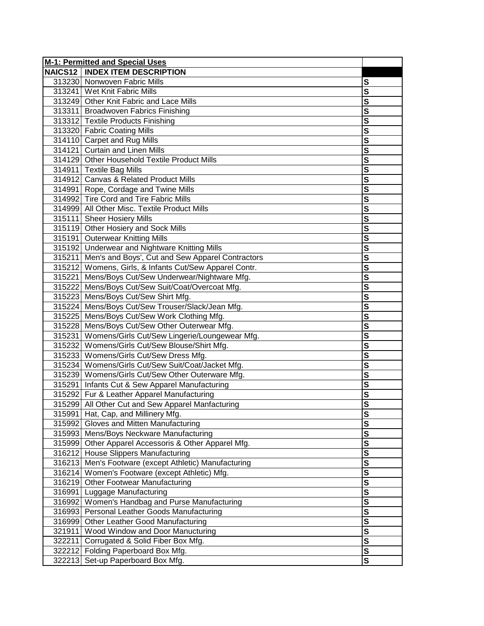|        | <b>M-1: Permitted and Special Uses</b>                  |                         |
|--------|---------------------------------------------------------|-------------------------|
|        | <b>NAICS12   INDEX ITEM DESCRIPTION</b>                 |                         |
|        | 313230 Nonwoven Fabric Mills                            | S                       |
|        | 313241 Wet Knit Fabric Mills                            | S                       |
|        | 313249 Other Knit Fabric and Lace Mills                 | S                       |
|        | 313311 Broadwoven Fabrics Finishing                     | $\overline{\mathbf{s}}$ |
|        | 313312 Textile Products Finishing                       | S                       |
|        | 313320 Fabric Coating Mills                             | S                       |
|        | 314110 Carpet and Rug Mills                             | S                       |
|        | 314121 Curtain and Linen Mills                          | S                       |
|        | 314129 Other Household Textile Product Mills            | S                       |
|        | 314911 Textile Bag Mills                                | S                       |
|        | 314912 Canvas & Related Product Mills                   | S                       |
|        | 314991 Rope, Cordage and Twine Mills                    | S                       |
|        | 314992 Tire Cord and Tire Fabric Mills                  | S                       |
|        | 314999 All Other Misc. Textile Product Mills            | S                       |
|        | 315111 Sheer Hosiery Mills                              | S                       |
|        | 315119 Other Hosiery and Sock Mills                     | S                       |
|        | 315191 Outerwear Knitting Mills                         | S                       |
|        | 315192 Underwear and Nightware Knitting Mills           | S                       |
|        | 315211 Men's and Boys', Cut and Sew Apparel Contractors | S                       |
|        | 315212 Womens, Girls, & Infants Cut/Sew Apparel Contr.  | S                       |
|        | 315221 Mens/Boys Cut/Sew Underwear/Nightware Mfg.       | S                       |
|        | 315222 Mens/Boys Cut/Sew Suit/Coat/Overcoat Mfg.        | S                       |
|        | 315223 Mens/Boys Cut/Sew Shirt Mfg.                     | S                       |
|        | 315224 Mens/Boys Cut/Sew Trouser/Slack/Jean Mfg.        | S                       |
|        | 315225 Mens/Boys Cut/Sew Work Clothing Mfg.             | $\overline{\mathsf{s}}$ |
|        | 315228 Mens/Boys Cut/Sew Other Outerwear Mfg.           | S                       |
|        | 315231 Womens/Girls Cut/Sew Lingerie/Loungewear Mfg.    | S                       |
|        | 315232 Womens/Girls Cut/Sew Blouse/Shirt Mfg.           | S                       |
|        | 315233 Womens/Girls Cut/Sew Dress Mfg.                  | S                       |
|        | 315234 Womens/Girls Cut/Sew Suit/Coat/Jacket Mfg.       | S                       |
|        | 315239 Womens/Girls Cut/Sew Other Outerware Mfg.        | S                       |
|        | 315291 Infants Cut & Sew Apparel Manufacturing          | S                       |
|        | 315292 Fur & Leather Apparel Manufacturing              | S                       |
|        | 315299 All Other Cut and Sew Apparel Manfacturing       | S                       |
|        | 315991 Hat, Cap, and Millinery Mfg.                     | <u>১</u>                |
|        | 315992 Gloves and Mitten Manufacturing                  | S                       |
|        | 315993 Mens/Boys Neckware Manufacturing                 | S                       |
|        | 315999 Other Apparel Accessoris & Other Apparel Mfg.    | $\overline{\mathbf{s}}$ |
|        | 316212 House Slippers Manufacturing                     | S                       |
|        | 316213 Men's Footware (except Athletic) Manufacturing   | $\overline{\mathbf{s}}$ |
|        | 316214 Women's Footware (except Athletic) Mfg.          | S                       |
|        | 316219 Other Footwear Manufacturing                     | $\overline{\mathsf{s}}$ |
|        | 316991 Luggage Manufacturing                            | S                       |
|        | 316992 Women's Handbag and Purse Manufacturing          | S                       |
|        | 316993 Personal Leather Goods Manufacturing             | S                       |
|        | 316999 Other Leather Good Manufacturing                 | S                       |
| 321911 | Wood Window and Door Manucturing                        | S                       |
| 322211 | Corrugated & Solid Fiber Box Mfg.                       | $\overline{\mathbf{s}}$ |
|        | 322212 Folding Paperboard Box Mfg.                      | $\overline{\mathbf{s}}$ |
|        | 322213 Set-up Paperboard Box Mfg.                       | S                       |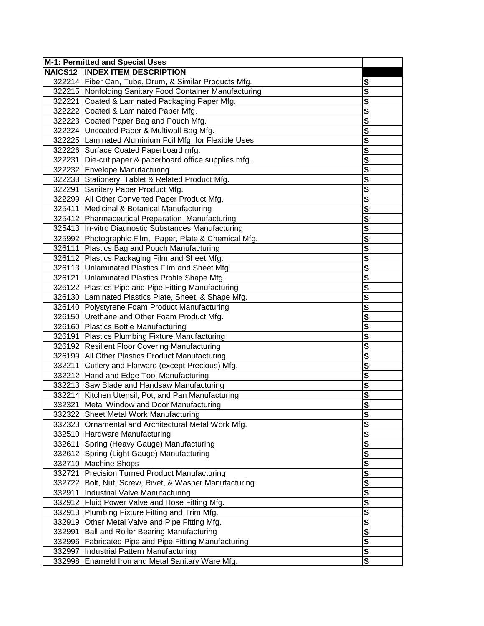|        | M-1: Permitted and Special Uses                         |                         |
|--------|---------------------------------------------------------|-------------------------|
|        | <b>NAICS12   INDEX ITEM DESCRIPTION</b>                 |                         |
|        | 322214 Fiber Can, Tube, Drum, & Similar Products Mfg.   | S                       |
|        | 322215 Nonfolding Sanitary Food Container Manufacturing | S                       |
|        | 322221 Coated & Laminated Packaging Paper Mfg.          | S                       |
|        | 322222 Coated & Laminated Paper Mfg.                    | $\overline{\mathbf{s}}$ |
|        | 322223 Coated Paper Bag and Pouch Mfg.                  | S                       |
|        | 322224 Uncoated Paper & Multiwall Bag Mfg.              | S                       |
|        | 322225 Laminated Aluminium Foil Mfg. for Flexible Uses  | $\overline{\mathbf{s}}$ |
|        | 322226 Surface Coated Paperboard mfg.                   | S                       |
|        | 322231 Die-cut paper & paperboard office supplies mfg.  | S                       |
|        | 322232 Envelope Manufacturing                           | S                       |
|        | 322233 Stationery, Tablet & Related Product Mfg.        | S                       |
|        | 322291 Sanitary Paper Product Mfg.                      | S                       |
|        | 322299 All Other Converted Paper Product Mfg.           | S                       |
|        | 325411 Medicinal & Botanical Manufacturing              | S                       |
|        | 325412 Pharmaceutical Preparation Manufacturing         | S                       |
|        | 325413 In-vitro Diagnostic Substances Manufacturing     | $\overline{\mathbf{s}}$ |
|        | 325992 Photographic Film, Paper, Plate & Chemical Mfg.  | S                       |
|        | 326111 Plastics Bag and Pouch Manufacturing             | $\overline{\mathbf{s}}$ |
|        | 326112 Plastics Packaging Film and Sheet Mfg.           | S                       |
|        | 326113 Unlaminated Plastics Film and Sheet Mfg.         | $\overline{\mathbf{s}}$ |
|        | 326121 Unlaminated Plastics Profile Shape Mfg.          | $\overline{\mathbf{s}}$ |
|        | 326122 Plastics Pipe and Pipe Fitting Manufacturing     | $\overline{\mathsf{s}}$ |
|        | 326130 Laminated Plastics Plate, Sheet, & Shape Mfg.    | S                       |
|        | 326140 Polystyrene Foam Product Manufacturing           | $\overline{\mathbf{s}}$ |
|        | 326150 Urethane and Other Foam Product Mfg.             | S                       |
|        | 326160 Plastics Bottle Manufacturing                    | $\overline{\mathbf{s}}$ |
|        | 326191 Plastics Plumbing Fixture Manufacturing          | S                       |
|        | 326192 Resilient Floor Covering Manufacturing           | $\overline{\mathbf{s}}$ |
|        | 326199 All Other Plastics Product Manufacturing         | S                       |
|        | 332211 Cutlery and Flatware (except Precious) Mfg.      | $\overline{\mathbf{s}}$ |
|        | 332212 Hand and Edge Tool Manufacturing                 | $\overline{\mathbf{s}}$ |
|        | 332213 Saw Blade and Handsaw Manufacturing              | $\overline{\mathbf{s}}$ |
|        | 332214 Kitchen Utensil, Pot, and Pan Manufacturing      | S                       |
|        | 332321 Metal Window and Door Manufacturing              | S                       |
|        | 332322 Sheet Metal Work Manufacturing                   | <u>s</u>                |
|        | 332323 Ornamental and Architectural Metal Work Mfg.     | S                       |
|        | 332510 Hardware Manufacturing                           | S                       |
|        | 332611 Spring (Heavy Gauge) Manufacturing               | S                       |
|        | 332612 Spring (Light Gauge) Manufacturing               | $\overline{\mathbf{s}}$ |
|        | 332710 Machine Shops                                    | S                       |
|        | 332721 Precision Turned Product Manufacturing           | $\mathbf{s}$            |
|        | 332722 Bolt, Nut, Screw, Rivet, & Washer Manufacturing  | S                       |
|        | 332911 Industrial Valve Manufacturing                   | S                       |
|        | 332912 Fluid Power Valve and Hose Fitting Mfg.          | S                       |
|        | 332913 Plumbing Fixture Fitting and Trim Mfg.           | S                       |
|        | 332919 Other Metal Valve and Pipe Fitting Mfg.          | $\overline{\mathbf{s}}$ |
| 332991 | <b>Ball and Roller Bearing Manufacturing</b>            | $\overline{\mathbf{s}}$ |
| 332996 | Fabricated Pipe and Pipe Fitting Manufacturing          | $\overline{\mathbf{s}}$ |
| 332997 | Industrial Pattern Manufacturing                        | $\overline{\mathbf{s}}$ |
|        | 332998 Enameld Iron and Metal Sanitary Ware Mfg.        | S                       |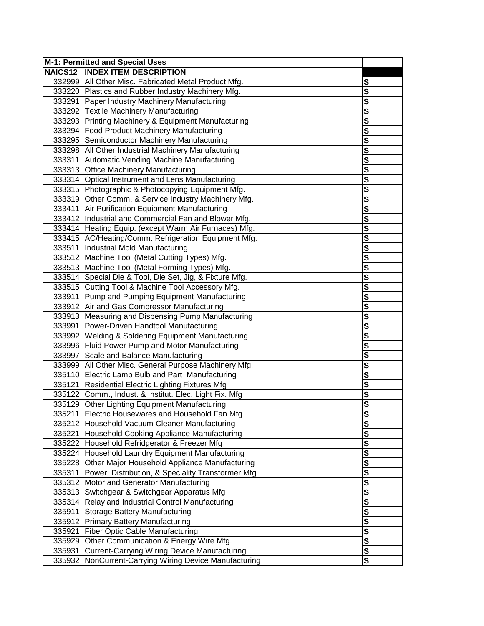|                | M-1: Permitted and Special Uses                         |                         |
|----------------|---------------------------------------------------------|-------------------------|
| <b>NAICS12</b> | <b>INDEX ITEM DESCRIPTION</b>                           |                         |
|                | 332999 All Other Misc. Fabricated Metal Product Mfg.    | S                       |
|                | 333220 Plastics and Rubber Industry Machinery Mfg.      | S                       |
|                | 333291 Paper Industry Machinery Manufacturing           | S                       |
|                | 333292 Textile Machinery Manufacturing                  | $\overline{\mathbf{s}}$ |
|                | 333293 Printing Machinery & Equipment Manufacturing     | S                       |
|                | 333294 Food Product Machinery Manufacturing             | S                       |
|                | 333295 Semiconductor Machinery Manufacturing            | $\overline{\mathbf{s}}$ |
|                | 333298 All Other Industrial Machinery Manufacturing     | S                       |
|                | 333311 Automatic Vending Machine Manufacturing          | S                       |
|                | 333313 Office Machinery Manufacturing                   | S                       |
|                | 333314 Optical Instrument and Lens Manufacturing        | S                       |
|                | 333315 Photographic & Photocopying Equipment Mfg.       | S                       |
|                | 333319 Other Comm. & Service Industry Machinery Mfg.    | S                       |
|                | 333411 Air Purification Equipment Manufacturing         | S                       |
|                | 333412 Industrial and Commercial Fan and Blower Mfg.    | S                       |
|                | 333414 Heating Equip. (except Warm Air Furnaces) Mfg.   | $\overline{\mathbf{s}}$ |
|                | 333415 AC/Heating/Comm. Refrigeration Equipment Mfg.    | S                       |
|                | 333511 Industrial Mold Manufacturing                    | S                       |
|                | 333512 Machine Tool (Metal Cutting Types) Mfg.          | S                       |
|                | 333513 Machine Tool (Metal Forming Types) Mfg.          | $\overline{\mathbf{s}}$ |
|                | 333514 Special Die & Tool, Die Set, Jig, & Fixture Mfg. | S                       |
|                | 333515 Cutting Tool & Machine Tool Accessory Mfg.       | $\overline{\mathbf{s}}$ |
|                | 333911 Pump and Pumping Equipment Manufacturing         | $\overline{\mathbf{s}}$ |
|                | 333912 Air and Gas Compressor Manufacturing             | $\overline{\mathsf{s}}$ |
|                | 333913 Measuring and Dispensing Pump Manufacturing      | S                       |
|                | 333991 Power-Driven Handtool Manufacturing              | $\overline{\mathbf{s}}$ |
|                | 333992 Welding & Soldering Equipment Manufacturing      | S                       |
|                | 333996 Fluid Power Pump and Motor Manufacturing         | $\overline{\mathbf{s}}$ |
|                | 333997 Scale and Balance Manufacturing                  | S                       |
|                | 333999 All Other Misc. General Purpose Machinery Mfg.   | S                       |
|                | 335110 Electric Lamp Bulb and Part Manufacturing        | S                       |
|                | 335121 Residential Electric Lighting Fixtures Mfg       | $\overline{\mathbf{s}}$ |
|                | 335122 Comm., Indust. & Institut. Elec. Light Fix. Mfg. | $\overline{\mathbf{s}}$ |
|                | 335129 Other Lighting Equipment Manufacturing           | $\overline{\mathbf{s}}$ |
|                | 335211 Electric Housewares and Household Fan Mfg        | <u>s</u>                |
|                | 335212 Household Vacuum Cleaner Manufacturing           | S                       |
|                | 335221 Household Cooking Appliance Manufacturing        | $\mathbf s$             |
|                | 335222 Household Refridgerator & Freezer Mfg            | S                       |
|                | 335224 Household Laundry Equipment Manufacturing        | $\overline{\mathbf{s}}$ |
|                | 335228 Other Major Household Appliance Manufacturing    | $\overline{\mathbf{s}}$ |
| 335311         | Power, Distribution, & Speciality Transformer Mfg       | $\overline{\mathbf{s}}$ |
| 335312         | Motor and Generator Manufacturing                       | $\overline{\mathbf{s}}$ |
| 335313         | Switchgear & Switchgear Apparatus Mfg                   | S                       |
| 335314         | Relay and Industrial Control Manufacturing              | S                       |
| 335911         | <b>Storage Battery Manufacturing</b>                    | S                       |
|                | 335912 Primary Battery Manufacturing                    | S                       |
| 335921         | Fiber Optic Cable Manufacturing                         | S                       |
| 335929         | Other Communication & Energy Wire Mfg.                  | $\overline{\mathbf{s}}$ |
| 335931         | <b>Current-Carrying Wiring Device Manufacturing</b>     | $\overline{\mathbf{s}}$ |
| 335932         | NonCurrent-Carrying Wiring Device Manufacturing         | S                       |
|                |                                                         |                         |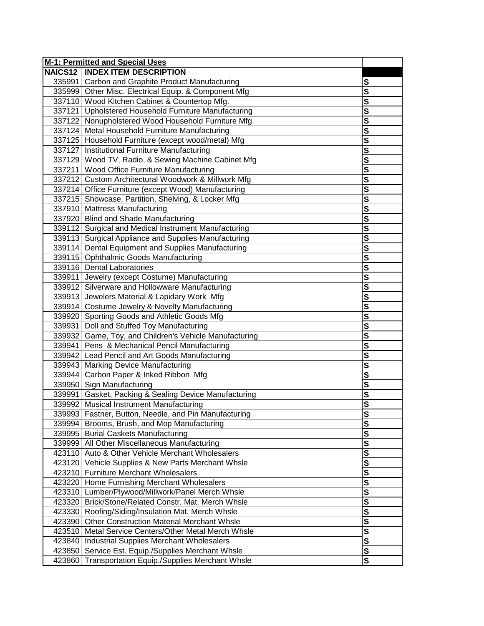|        | M-1: Permitted and Special Uses                        |                         |
|--------|--------------------------------------------------------|-------------------------|
|        | <b>NAICS12   INDEX ITEM DESCRIPTION</b>                |                         |
|        | 335991 Carbon and Graphite Product Manufacturing       | S                       |
|        | 335999 Other Misc. Electrical Equip. & Component Mfg   | S                       |
|        | 337110 Wood Kitchen Cabinet & Countertop Mfg.          | S                       |
|        | 337121 Upholstered Household Furniture Manufacturing   | $\overline{\mathbf{s}}$ |
|        | 337122 Nonupholstered Wood Household Furniture Mfg     | S                       |
|        | 337124 Metal Household Furniture Manufacturing         | S                       |
|        | 337125 Household Furniture (except wood/metal) Mfg     | $\overline{\mathbf{s}}$ |
|        | 337127 Institutional Furniture Manufacturing           | S                       |
|        | 337129 Wood TV, Radio, & Sewing Machine Cabinet Mfg    | S                       |
|        | 337211 Wood Office Furniture Manufacturing             | S                       |
|        | 337212 Custom Architectural Woodwork & Millwork Mfg    | S                       |
|        | 337214 Office Furniture (except Wood) Manufacturing    | S                       |
|        | 337215 Showcase, Partition, Shelving, & Locker Mfg     | S                       |
|        | 337910 Mattress Manufacturing                          | S                       |
|        | 337920 Blind and Shade Manufacturing                   | S                       |
|        | 339112 Surgical and Medical Instrument Manufacturing   | S                       |
|        | 339113 Surgical Appliance and Supplies Manufacturing   | S                       |
|        | 339114 Dental Equipment and Supplies Manufacturing     | S                       |
|        | 339115 Ophthalmic Goods Manufacturing                  | S                       |
|        | 339116 Dental Laboratories                             | S                       |
|        | 339911 Jewelry (except Costume) Manufacturing          | $\overline{\mathbf{s}}$ |
|        | 339912 Silverware and Hollowware Manufacturing         | $\overline{\mathbf{s}}$ |
|        | 339913 Jewelers Material & Lapidary Work Mfg           | $\overline{\mathbf{s}}$ |
|        | 339914 Costume Jewelry & Novelty Manufacturing         | $\overline{\mathsf{s}}$ |
|        | 339920 Sporting Goods and Athletic Goods Mfg           | S                       |
|        | 339931 Doll and Stuffed Toy Manufacturing              | S                       |
|        | 339932 Game, Toy, and Children's Vehicle Manufacturing | S                       |
|        | 339941 Pens & Mechanical Pencil Manufacturing          | S                       |
|        | 339942 Lead Pencil and Art Goods Manufacturing         | S                       |
|        | 339943 Marking Device Manufacturing                    | $\overline{\mathbf{s}}$ |
|        | 339944 Carbon Paper & Inked Ribbon Mfg                 | S                       |
|        | 339950 Sign Manufacturing                              | $\overline{\mathbf{s}}$ |
|        | 339991 Gasket, Packing & Sealing Device Manufacturing  | S                       |
|        | 339992 Musical Instrument Manufacturing                | S                       |
|        | 339993 Fastner, Button, Needle, and Pin Manufacturing  | S                       |
|        | 339994 Brooms, Brush, and Mop Manufacturing            | S                       |
|        | 339995 Burial Caskets Manufacturing                    | S                       |
|        | 339999 All Other Miscellaneous Manufacturing           | S                       |
|        | 423110 Auto & Other Vehicle Merchant Wholesalers       | S                       |
|        | 423120 Vehicle Supplies & New Parts Merchant Whsle     | $\overline{\mathbf{s}}$ |
|        | 423210 Furniture Merchant Wholesalers                  | $\overline{\mathbf{s}}$ |
|        | 423220 Home Furnishing Merchant Wholesalers            | S                       |
|        | 423310 Lumber/Plywood/Millwork/Panel Merch Whsle       | S                       |
|        | 423320 Brick/Stone/Related Constr. Mat. Merch Whsle    | S                       |
|        | 423330 Roofing/Siding/Insulation Mat. Merch Whsle      | S                       |
| 423390 | <b>Other Construction Material Merchant Whsle</b>      | S                       |
| 423510 | Metal Service Centers/Other Metal Merch Whsle          | S                       |
| 423840 | Industrial Supplies Merchant Wholesalers               | $\overline{\mathbf{s}}$ |
| 423850 | Service Est. Equip./Supplies Merchant Whsle            | $\overline{\mathsf{s}}$ |
| 423860 | <b>Transportation Equip./Supplies Merchant Whsle</b>   | S                       |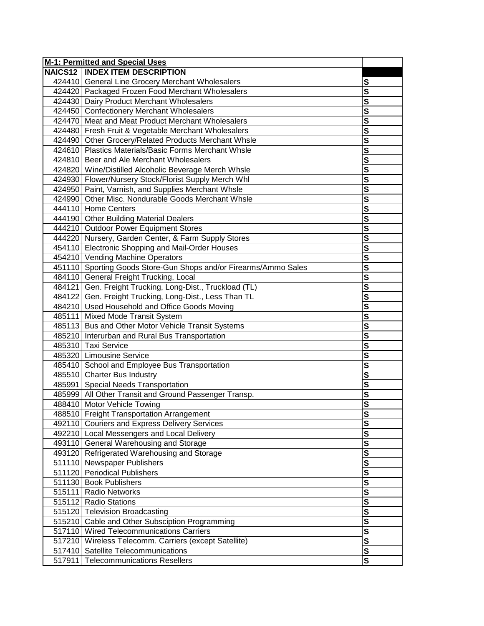| M-1: Permitted and Special Uses                                  |                         |
|------------------------------------------------------------------|-------------------------|
| <b>NAICS12   INDEX ITEM DESCRIPTION</b>                          |                         |
| 424410 General Line Grocery Merchant Wholesalers                 | S                       |
| 424420 Packaged Frozen Food Merchant Wholesalers                 | $\overline{\mathbf{s}}$ |
| 424430 Dairy Product Merchant Wholesalers                        | S                       |
| 424450 Confectionery Merchant Wholesalers                        | $\overline{\mathbf{s}}$ |
| 424470 Meat and Meat Product Merchant Wholesalers                | $\overline{\mathbf{s}}$ |
| 424480 Fresh Fruit & Vegetable Merchant Wholesalers              | $\overline{\mathsf{s}}$ |
| 424490 Other Grocery/Related Products Merchant Whsle             | $\overline{\mathbf{s}}$ |
| 424610 Plastics Materials/Basic Forms Merchant Whsle             | S                       |
| 424810 Beer and Ale Merchant Wholesalers                         | S                       |
| 424820 Wine/Distilled Alcoholic Beverage Merch Whsle             | S                       |
| 424930 Flower/Nursery Stock/Florist Supply Merch Whl             | S                       |
| 424950 Paint, Varnish, and Supplies Merchant Whsle               | S                       |
| 424990 Other Misc. Nondurable Goods Merchant Whsle               | S                       |
| 444110 Home Centers                                              | S                       |
| 444190 Other Building Material Dealers                           | $\overline{\mathbf{s}}$ |
| 444210 Outdoor Power Equipment Stores                            | S                       |
| 444220 Nursery, Garden Center, & Farm Supply Stores              | S                       |
| 454110 Electronic Shopping and Mail-Order Houses                 | S                       |
| 454210 Vending Machine Operators                                 | $\overline{\mathbf{s}}$ |
| 451110 Sporting Goods Store-Gun Shops and/or Firearms/Ammo Sales | S                       |
| 484110 General Freight Trucking, Local                           | $\overline{\mathsf{s}}$ |
| 484121 Gen. Freight Trucking, Long-Dist., Truckload (TL)         | $\overline{\mathsf{s}}$ |
| 484122 Gen. Freight Trucking, Long-Dist., Less Than TL           | $\overline{\mathsf{s}}$ |
| 484210 Used Household and Office Goods Moving                    | $\overline{\mathbf{s}}$ |
| 485111 Mixed Mode Transit System                                 | $\overline{\mathbf{s}}$ |
| 485113 Bus and Other Motor Vehicle Transit Systems               | S                       |
| 485210 Interurban and Rural Bus Transportation                   | S                       |
| 485310 Taxi Service                                              | S                       |
| 485320 Limousine Service                                         | S                       |
| 485410 School and Employee Bus Transportation                    | S                       |
| 485510 Charter Bus Industry                                      | $\overline{\mathsf{s}}$ |
| 485991 Special Needs Transportation                              | $\overline{\mathsf{s}}$ |
| 485999 All Other Transit and Ground Passenger Transp.            | S                       |
| 488410 Motor Vehicle Towing                                      | S                       |
| 488510 Freight Transportation Arrangement                        | s<br>s                  |
| 492110 Couriers and Express Delivery Services                    |                         |
| 492210 Local Messengers and Local Delivery                       | S                       |
| 493110 General Warehousing and Storage                           | $\overline{\mathsf{s}}$ |
| 493120 Refrigerated Warehousing and Storage                      | $\overline{\mathbf{s}}$ |
| 511110 Newspaper Publishers                                      | $\overline{\mathsf{s}}$ |
| 511120 Periodical Publishers                                     | S                       |
| 511130 Book Publishers                                           | S                       |
| 515111 Radio Networks                                            | S                       |
| 515112 Radio Stations                                            | S                       |
| 515120 Television Broadcasting                                   | $\overline{\mathbf{s}}$ |
| 515210 Cable and Other Subsciption Programming                   | S                       |
| 517110 Wired Telecommunications Carriers                         | S                       |
| 517210 Wireless Telecomm. Carriers (except Satellite)            | $\overline{\mathsf{s}}$ |
| 517410 Satellite Telecommunications                              | $\overline{\mathsf{s}}$ |
| 517911 Telecommunications Resellers                              | $\overline{\mathbf{s}}$ |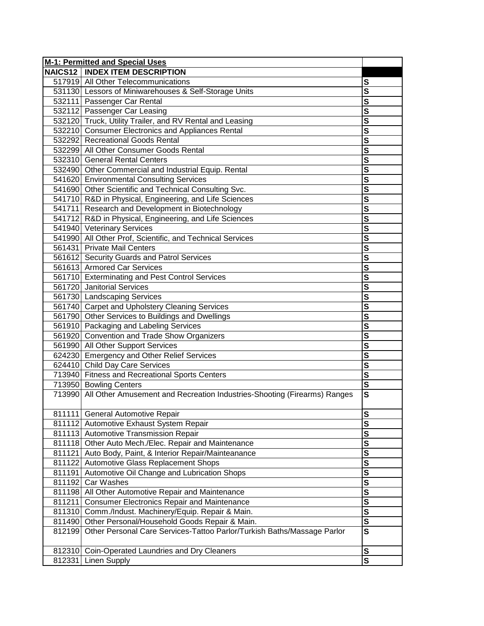|        | <b>M-1: Permitted and Special Uses</b>                                          |                         |
|--------|---------------------------------------------------------------------------------|-------------------------|
|        | <b>NAICS12   INDEX ITEM DESCRIPTION</b>                                         |                         |
|        | 517919 All Other Telecommunications                                             | S                       |
|        | 531130 Lessors of Miniwarehouses & Self-Storage Units                           | $\overline{\mathsf{s}}$ |
|        | 532111 Passenger Car Rental                                                     | $\overline{\mathbf{s}}$ |
|        | 532112 Passenger Car Leasing                                                    | $\overline{\mathbf{s}}$ |
|        | 532120 Truck, Utility Trailer, and RV Rental and Leasing                        | $\overline{\mathbf{s}}$ |
|        | 532210 Consumer Electronics and Appliances Rental                               | $\overline{\mathsf{s}}$ |
|        | 532292 Recreational Goods Rental                                                | $\overline{\mathsf{s}}$ |
|        | 532299 All Other Consumer Goods Rental                                          | $\overline{\mathbf{s}}$ |
|        | 532310 General Rental Centers                                                   | $\overline{\mathbf{s}}$ |
|        | 532490 Other Commercial and Industrial Equip. Rental                            | S                       |
|        | 541620 Environmental Consulting Services                                        | S                       |
|        | 541690 Other Scientific and Technical Consulting Svc.                           | S                       |
|        | 541710 R&D in Physical, Engineering, and Life Sciences                          | S                       |
|        | 541711 Research and Development in Biotechnology                                | S                       |
|        | 541712 R&D in Physical, Engineering, and Life Sciences                          | S                       |
|        | 541940 Veterinary Services                                                      | $\overline{\mathbf{s}}$ |
|        | 541990 All Other Prof, Scientific, and Technical Services                       | $\overline{\mathbf{s}}$ |
|        | 561431 Private Mail Centers                                                     | S                       |
|        | 561612 Security Guards and Patrol Services                                      | $\overline{\mathbf{s}}$ |
|        | 561613 Armored Car Services                                                     | $\overline{\mathbf{s}}$ |
|        | 561710 Exterminating and Pest Control Services                                  | $\overline{\mathbf{s}}$ |
|        | 561720 Janitorial Services                                                      | $\overline{\mathbf{s}}$ |
|        | 561730 Landscaping Services                                                     | $\overline{\mathbf{s}}$ |
|        | 561740 Carpet and Upholstery Cleaning Services                                  | $\overline{\mathsf{s}}$ |
|        | 561790 Other Services to Buildings and Dwellings                                | $\overline{\mathbf{s}}$ |
|        | 561910 Packaging and Labeling Services                                          | $\overline{\mathbf{s}}$ |
|        | 561920 Convention and Trade Show Organizers                                     | S                       |
|        | 561990 All Other Support Services                                               | $\overline{\mathbf{s}}$ |
|        | 624230 Emergency and Other Relief Services                                      | S                       |
|        | 624410 Child Day Care Services                                                  | $\overline{\mathbf{s}}$ |
|        | 713940 Fitness and Recreational Sports Centers                                  | $\overline{\mathbf{s}}$ |
|        | 713950 Bowling Centers                                                          | s                       |
|        | 713990 All Other Amusement and Recreation Industries-Shooting (Firearms) Ranges | $\overline{\mathsf{s}}$ |
|        | 811111 General Automotive Repair                                                | S                       |
|        | 811112 Automotive Exhaust System Repair                                         | $\mathbf s$             |
|        | 811113 Automotive Transmission Repair                                           | $\mathbf{s}$            |
|        | 811118 Other Auto Mech./Elec. Repair and Maintenance                            | $\mathbf{s}$            |
|        | 811121 Auto Body, Paint, & Interior Repair/Mainteanance                         | $\overline{\mathbf{s}}$ |
|        | 811122 Automotive Glass Replacement Shops                                       | $\mathbf{s}$            |
| 811191 | Automotive Oil Change and Lubrication Shops                                     | $\overline{\mathbf{s}}$ |
|        | 811192 Car Washes                                                               | $\mathbf{s}$            |
|        | 811198 All Other Automotive Repair and Maintenance                              | S                       |
| 811211 | <b>Consumer Electronics Repair and Maintenance</b>                              | $\mathbf s$             |
|        | 811310 Comm./Indust. Machinery/Equip. Repair & Main.                            | $\mathbf{s}$            |
|        | 811490 Other Personal/Household Goods Repair & Main.                            | $\overline{\mathbf{s}}$ |
| 812199 | Other Personal Care Services-Tattoo Parlor/Turkish Baths/Massage Parlor         | $\mathbf{s}$            |
|        |                                                                                 |                         |
| 812310 | Coin-Operated Laundries and Dry Cleaners                                        | $\mathbf{s}$            |
| 812331 | <b>Linen Supply</b>                                                             | $\overline{\mathbf{s}}$ |